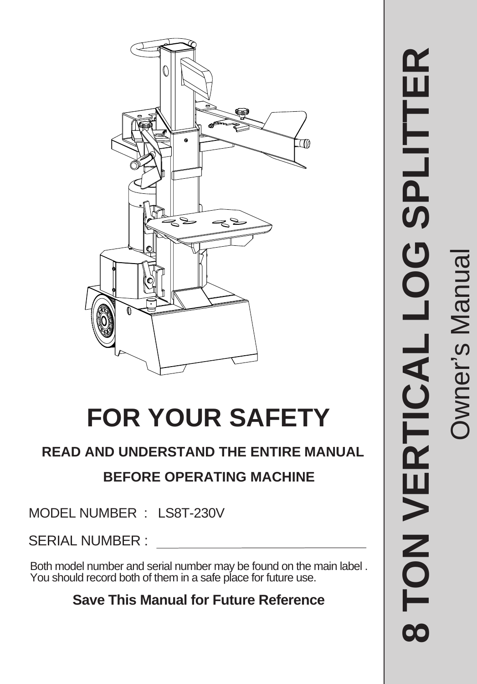

# **FOR YOUR SAFETY**

# **READ AND UNDERSTAND THE ENTIRE MANUAL**

# **BEFORE OPERATING MACHINE**

MODEL NUMBER : LS8T-230V

SERIAL NUMBER :

Both model number and serial number may be found on the main label . You should record both of them in a safe place for future use.

# **Save This Manual for Future Reference**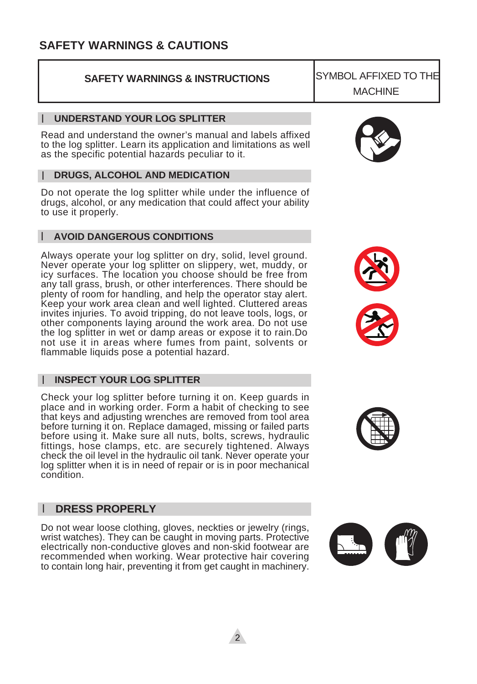### **SAFETY WARNINGS & CAUTIONS**

### **SAFETY WARNINGS & INSTRUCTIONS**

#### **UNDERSTAND YOUR LOG SPLITTER** l

Read and understand the owner's manual and labels affixed to the log splitter. Learn its application and limitations as well as the specific potential hazards peculiar to it.

### **DRUGS, ALCOHOL AND MEDICATION** l

Do not operate the log splitter while under the influence of drugs, alcohol, or any medication that could affect your ability to use it properly.

#### **AVOID DANGEROUS CONDITIONS** l

Always operate your log splitter on dry, solid, level ground. Never operate your log splitter on slippery, wet, muddy, or icy surfaces. The location you choose should be free from any tall grass, brush, or other interferences. There should be plenty of room for handling, and help the operator stay alert. Keep your work area clean and well lighted. Cluttered areas invites injuries. To avoid tripping, do not leave tools, logs, or other components laying around the work area. Do not use the log splitter in wet or damp areas or expose it to rain.Do not use it in areas where fumes from paint, solvents or flammable liquids pose a potential hazard.

### **INSPECT YOUR LOG SPLITTER** l

Check your log splitter before turning it on. Keep guards in place and in working order. Form a habit of checking to see that keys and adjusting wrenches are removed from tool area before turning it on. Replace damaged, missing or failed parts before using it. Make sure all nuts, bolts, screws, hydraulic fittings, hose clamps, etc. are securely tightened. Always check the oil level in the hydraulic oil tank. Never operate your log splitter when it is in need of repair or is in poor mechanical condition.

### l **DRESS PROPERLY**

Do not wear loose clothing, gloves, neckties or jewelry (rings, wrist watches). They can be caught in moving parts. Protective electrically non-conductive gloves and non-skid footwear are recommended when working. Wear protective hair covering to contain long hair, preventing it from get caught in machinery.











SYMBOL AFFIXED TO THE MACHINE

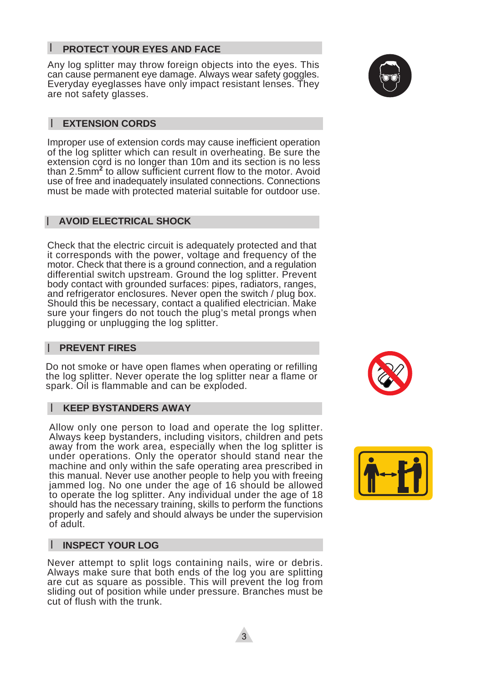#### l **PROTECT YOUR EYES AND FACE**

Any log splitter may throw foreign objects into the eyes. This can cause permanent eye damage. Always wear safety goggles. Everyday eyeglasses have only impact resistant lenses. They are not safety glasses.

#### **EXTENSION CORDS** l

Improper use of extension cords may cause inefficient operation of the log splitter which can result in overheating. Be sure the extension cord is no longer than 10m and its section is no less than 2.5mm**<sup>2</sup>** to allow sufficient current flow to the motor. Avoid use of free and inadequately insulated connections. Connections must be made with protected material suitable for outdoor use.

### **AVOID ELECTRICAL SHOCK** l

Check that the electric circuit is adequately protected and that it corresponds with the power, voltage and frequency of the motor. Check that there is a ground connection, and a regulation differential switch upstream. Ground the log splitter. Prevent body contact with grounded surfaces: pipes, radiators, ranges, and refrigerator enclosures. Never open the switch / plug box. Should this be necessary, contact a qualified electrician. Make sure your fingers do not touch the plug's metal prongs when plugging or unplugging the log splitter.

#### **PREVENT FIRES** l

Do not smoke or have open flames when operating or refilling the log splitter. Never operate the log splitter near a flame or spark. Oil is flammable and can be exploded.

#### **KEEP BYSTANDERS AWAY** l

Allow only one person to load and operate the log splitter. Always keep bystanders, including visitors, children and pets away from the work area, especially when the log splitter is under operations. Only the operator should stand near the machine and only within the safe operating area prescribed in this manual. Never use another people to help you with freeing jammed log. No one under the age of 16 should be allowed to operate the log splitter. Any individual under the age of 18 should has the necessary training, skills to perform the functions properly and safely and should always be under the supervision of adult.

#### **INSPECT YOUR LOG** l

Never attempt to split logs containing nails, wire or debris. Always make sure that both ends of the log you are splitting are cut as square as possible. This will prevent the log from sliding out of position while under pressure. Branches must be cut of flush with the trunk.





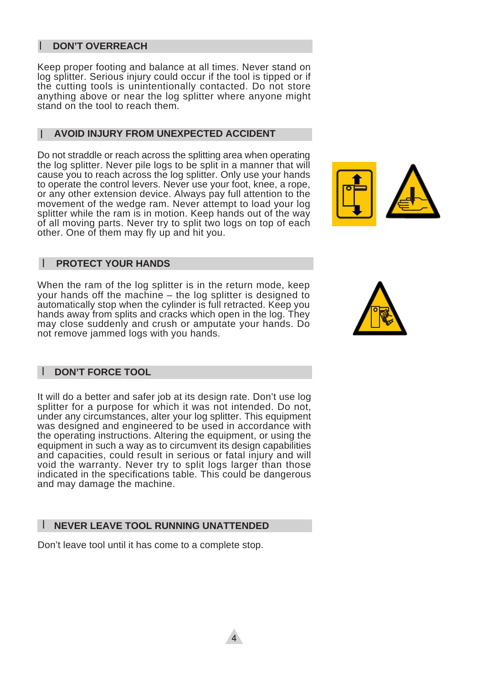### l **DON'T OVERREACH**

Keep proper footing and balance at all times. Never stand on log splitter. Serious injury could occur if the tool is tipped or if the cutting tools is unintentionally contacted. Do not store anything above or near the log splitter where anyone might stand on the tool to reach them.

#### **AVOID INJURY FROM UNEXPECTED ACCIDENT** l

Do not straddle or reach across the splitting area when operating the log splitter. Never pile logs to be split in a manner that will cause you to reach across the log splitter. Only use your hands to operate the control levers. Never use your foot, knee, a rope, or any other extension device. Always pay full attention to the movement of the wedge ram. Never attempt to load your log splitter while the ram is in motion. Keep hands out of the way of all moving parts. Never try to split two logs on top of each other. One of them may fly up and hit you.



#### **PROTECT YOUR HANDS** l

When the ram of the log splitter is in the return mode, keep your hands off the machine – the log splitter is designed to automatically stop when the cylinder is full retracted. Keep you hands away from splits and cracks which open in the log. They may close suddenly and crush or amputate your hands. Do not remove jammed logs with you hands.



#### **DON'T FORCE TOOL** l

It will do a better and safer job at its design rate. Don't use log splitter for a purpose for which it was not intended. Do not, under any circumstances, alter your log splitter. This equipment was designed and engineered to be used in accordance with the operating instructions. Altering the equipment, or using the equipment in such a way as to circumvent its design capabilities and capacities, could result in serious or fatal injury and will void the warranty. Never try to split logs larger than those indicated in the specifications table. This could be dangerous and may damage the machine.

#### **NEVER LEAVE TOOL RUNNING UNATTENDED** l

Don't leave tool until it has come to a complete stop.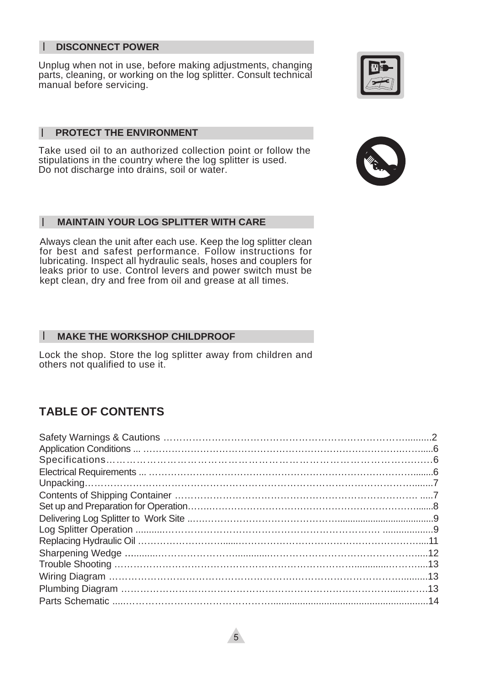#### **DISCONNECT POWER** l

Unplug when not in use, before making adjustments, changing parts, cleaning, or working on the log splitter. Consult technical manual before servicing.

#### **PROTECT THE ENVIRONMENT** l

Take used oil to an authorized collection point or follow the stipulations in the country where the log splitter is used. Do not discharge into drains, soil or water.

#### **MAINTAIN YOUR LOG SPLITTER WITH CARE** l

Always clean the unit after each use. Keep the log splitter clean for best and safest performance. Follow instructions for lubricating. Inspect all hydraulic seals, hoses and couplers for leaks prior to use. Control levers and power switch must be kept clean, dry and free from oil and grease at all times.

#### **MAKE THE WORKSHOP CHILDPROOF** l

Lock the shop. Store the log splitter away from children and others not qualified to use it.

### **TABLE OF CONTENTS**



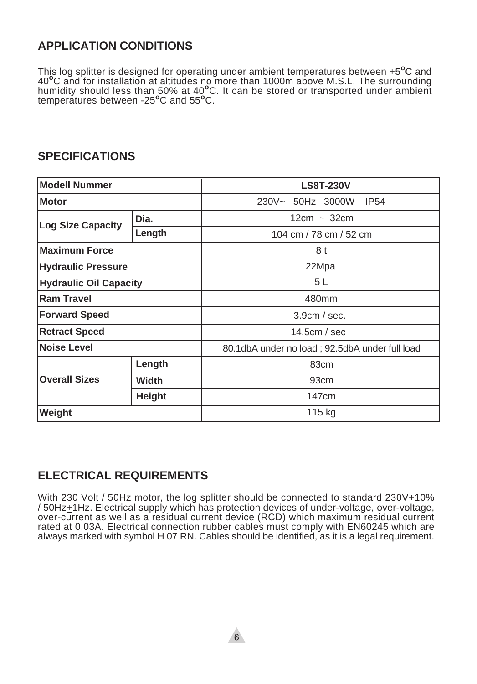### **APPLICATION CONDITIONS**

This log splitter is designed for operating under ambient temperatures between +5**o**C and 40**o**C and for installation at altitudes no more than 1000m above M.S.L. The surrounding humidity should less than 50% at 40**o**C. It can be stored or transported under ambient temperatures between -25**o**C and 55**o**C.

### **SPECIFICATIONS**

| <b>Modell Nummer</b>      |                                     | <b>LS8T-230V</b>                               |  |
|---------------------------|-------------------------------------|------------------------------------------------|--|
| <b>Motor</b>              |                                     | 230V~ 50Hz 3000W<br><b>IP54</b>                |  |
| <b>Log Size Capacity</b>  | Dia.                                | $12cm - 32cm$                                  |  |
|                           | Length                              | 104 cm / 78 cm / 52 cm                         |  |
| <b>Maximum Force</b>      |                                     | 8 t                                            |  |
| <b>Hydraulic Pressure</b> |                                     | 22Mpa                                          |  |
|                           | 5L<br><b>Hydraulic Oil Capacity</b> |                                                |  |
| <b>Ram Travel</b>         |                                     | 480mm                                          |  |
| <b>Forward Speed</b>      |                                     | 3.9cm / sec.                                   |  |
| <b>Retract Speed</b>      |                                     | 14.5 $cm / sec$                                |  |
| <b>Noise Level</b>        |                                     | 80.1dbA under no load; 92.5dbA under full load |  |
| <b>Overall Sizes</b>      | Length                              | 83cm                                           |  |
|                           | <b>Width</b>                        | 93 <sub>cm</sub>                               |  |
|                           | <b>Height</b>                       | 147 <sub>cm</sub>                              |  |
| Weight                    | 115 kg                              |                                                |  |

### **ELECTRICAL REQUIREMENTS**

With 230 Volt / 50Hz motor, the log splitter should be connected to standard 230V+10% / 50Hz+1Hz. Electrical supply which has protection devices of under-voltage, over-voltage, over-current as well as a residual current device (RCD) which maximum residual current rated at 0.03A. Electrical connection rubber cables must comply with EN60245 which are always marked with symbol H 07 RN. Cables should be identified, as it is a legal requirement.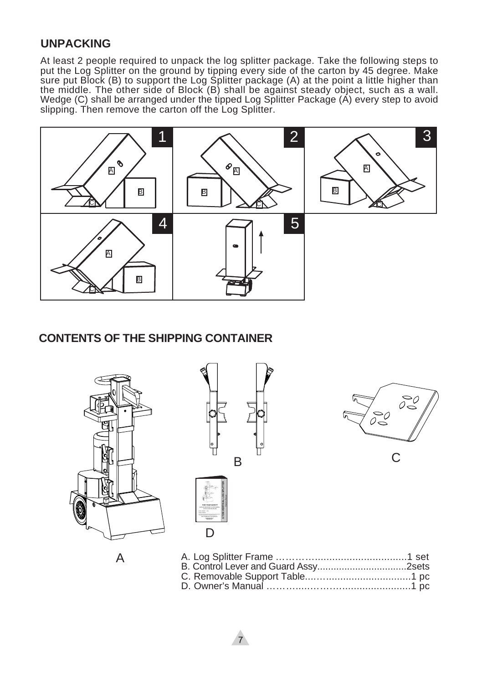### **UNPACKING**

At least 2 people required to unpack the log splitter package. Take the following steps to put the Log Splitter on the ground by tipping every side of the carton by 45 degree. Make sure put Block (B) to support the Log Splitter package (A) at the point a little higher than the middle. The other side of Block (B) shall be against steady object, such as a wall. Wedge (C) shall be arranged under the tipped Log Splitter Package (A) every step to avoid slipping. Then remove the carton off the Log Splitter.



### **CONTENTS OF THE SHIPPING CONTAINER**





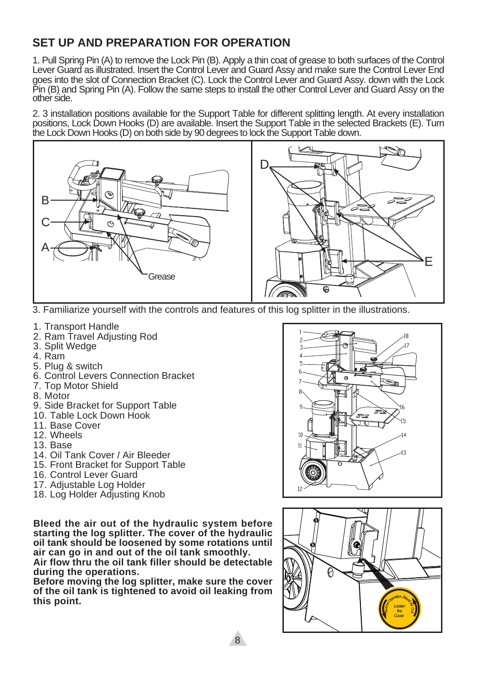### **SET UP AND PREPARATION FOR OPERATION**

1. Pull Spring Pin (A) to remove the Lock Pin (B). Apply a thin coat of grease to both surfaces of the Control Lever Guard as illustrated. Insert the Control Lever and Guard Assy and make sure the Control Lever End goes into the slot of Connection Bracket (C). Lock the Control Lever and Guard Assy. down with the Lock Pin (B) and Spring Pin (A). Follow the same steps to install the other Control Lever and Guard Assy on the other side.

2. 3 installation positions available for the Support Table for different splitting length. At every installation positions, Lock Down Hooks (D) are available. Insert the Support Table in the selected Brackets (E). Turn the Lock Down Hooks (D) on both side by 90 degrees to lock the Support Table down.



3. Familiarize yourself with the controls and features of this log splitter in the illustrations.

- 1. Transport Handle
- 2. Ram Travel Adjusting Rod
- 3. Split Wedge
- 4. Ram
- 5. Plug & switch
- 6. Control Levers Connection Bracket
- 7. Top Motor Shield
- 8. Motor
- 9. Side Bracket for Support Table
- 10. Table Lock Down Hook
- 11. Base Cover
- 12. Wheels
- 13. Base
- 14. Oil Tank Cover / Air Bleeder
- 15. Front Bracket for Support Table
- 16. Control Lever Guard
- 17. Adjustable Log Holder
- 18. Log Holder Adjusting Knob

**Bleed the air out of the hydraulic system before starting the log splitter. The cover of the hydraulic oil tank should be loosened by some rotations until air can go in and out of the oil tank smoothly.**

**Air flow thru the oil tank filler should be detectable during the operations.**

**Before moving the log splitter, make sure the cover of the oil tank is tightened to avoid oil leaking from this point.**



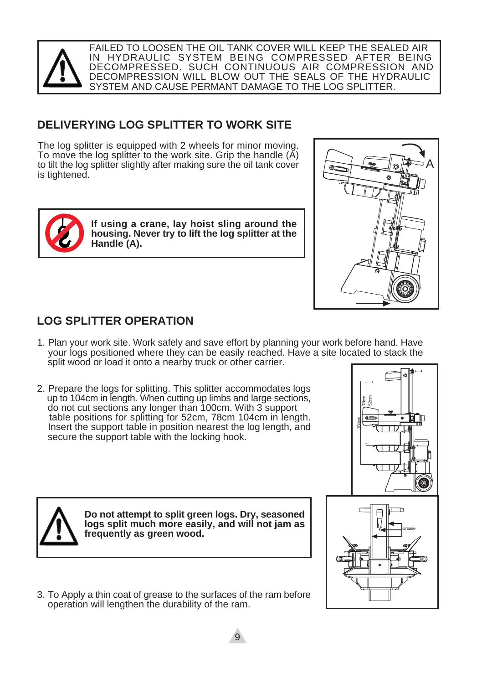

FAILED TO LOOSEN THE OIL TANK COVER WILL KEEP THE SEALED AIR IN HYDRAULIC SYSTEM BEING COMPRESSED AFTER BEING DECOMPRESSED. SUCH CONTINUOUS AIR COMPRESSION AND DECOMPRESSION WILL BLOW OUT THE SEALS OF THE HYDRAULIC SYSTEM AND CAUSE PERMANT DAMAGE TO THE LOG SPLITTER.

### **DELIVERYING LOG SPLITTER TO WORK SITE**

The log splitter is equipped with 2 wheels for minor moving. To move the log splitter to the work site. Grip the handle (A) to tilt the log splitter slightly after making sure the oil tank cover is tightened.



**If using a crane, lay hoist sling around the housing. Never try to lift the log splitter at the Handle (A).**



## **LOG SPLITTER OPERATION**

1. Plan your work site. Work safely and save effort by planning your work before hand. Have your logs positioned where they can be easily reached. Have a site located to stack the split wood or load it onto a nearby truck or other carrier.

9

2. Prepare the logs for splitting. This splitter accommodates logs up to 104cm in length. When cutting up limbs and large sections, do not cut sections any longer than 100cm. With 3 support table positions for splitting for 52cm, 78cm 104cm in length. Insert the support table in position nearest the log length, and secure the support table with the locking hook.





**Do not attempt to split green logs. Dry, seasoned logs split much more easily, and will not jam as frequently as green wood.**

3. To Apply a thin coat of grease to the surfaces of the ram before operation will lengthen the durability of the ram.

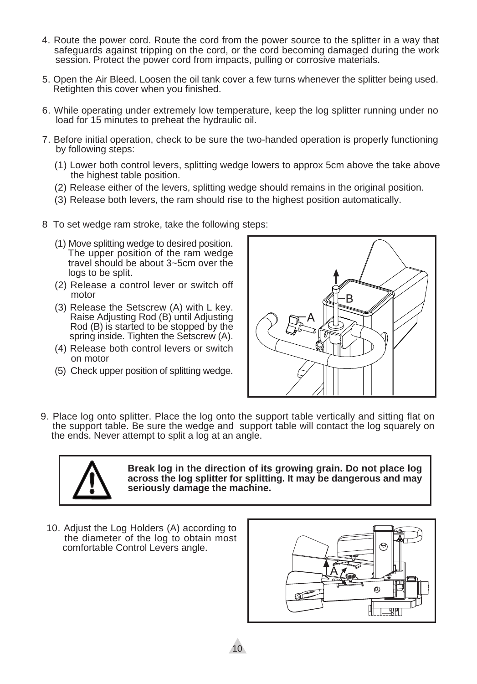- 4. Route the power cord. Route the cord from the power source to the splitter in a way that safeguards against tripping on the cord, or the cord becoming damaged during the work session. Protect the power cord from impacts, pulling or corrosive materials.
- 5. Open the Air Bleed. Loosen the oil tank cover a few turns whenever the splitter being used. Retighten this cover when you finished.
- 6. While operating under extremely low temperature, keep the log splitter running under no load for 15 minutes to preheat the hydraulic oil.
- 7. Before initial operation, check to be sure the two-handed operation is properly functioning by following steps:
	- (1) Lower both control levers, splitting wedge lowers to approx 5cm above the take above the highest table position.
	- (2) Release either of the levers, splitting wedge should remains in the original position.
	- (3) Release both levers, the ram should rise to the highest position automatically.
- 8 To set wedge ram stroke, take the following steps:
	- (1) Move splitting wedge to desired position. The upper position of the ram wedge travel should be about 3~5cm over the logs to be split.
	- (2) Release a control lever or switch off motor
	- (3) Release the Setscrew (A) with L key. Raise Adjusting Rod (B) until Adjusting Rod (B) is started to be stopped by the spring inside. Tighten the Setscrew (A).
	- (4) Release both control levers or switch on motor
	- (5) Check upper position of splitting wedge.



9. Place log onto splitter. Place the log onto the support table vertically and sitting flat on the support table. Be sure the wedge and support table will contact the log squarely on the ends. Never attempt to split a log at an angle.



**Break log in the direction of its growing grain. Do not place log across the log splitter for splitting. It may be dangerous and may seriously damage the machine.**

10. Adjust the Log Holders (A) according to the diameter of the log to obtain most comfortable Control Levers angle.

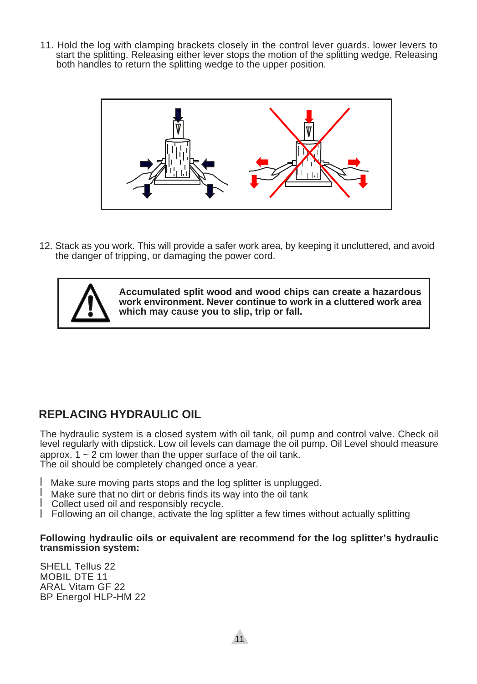11. Hold the log with clamping brackets closely in the control lever guards. lower levers to start the splitting. Releasing either lever stops the motion of the splitting wedge. Releasing both handles to return the splitting wedge to the upper position.



12. Stack as you work. This will provide a safer work area, by keeping it uncluttered, and avoid the danger of tripping, or damaging the power cord.



**Accumulated split wood and wood chips can create a hazardous work environment. Never continue to work in a cluttered work area which may cause you to slip, trip or fall.**

### **REPLACING HYDRAULIC OIL**

The hydraulic system is a closed system with oil tank, oil pump and control valve. Check oil level regularly with dipstick. Low oil levels can damage the oil pump. Oil Level should measure approx.  $1 \sim 2$  cm lower than the upper surface of the oil tank. The oil should be completely changed once a year.

- 1 Make sure moving parts stops and the log splitter is unplugged.
- $1$  Make sure that no dirt or debris finds its way into the oil tank
- 1 Collect used oil and responsibly recycle.
- Following an oil change, activate the log splitter a few times without actually splitting l

### **Following hydraulic oils or equivalent are recommend for the log splitter's hydraulic transmission system:**

SHELL Tellus 22 MOBIL DTE 11 ARAL Vitam GF 22 BP Energol HLP-HM 22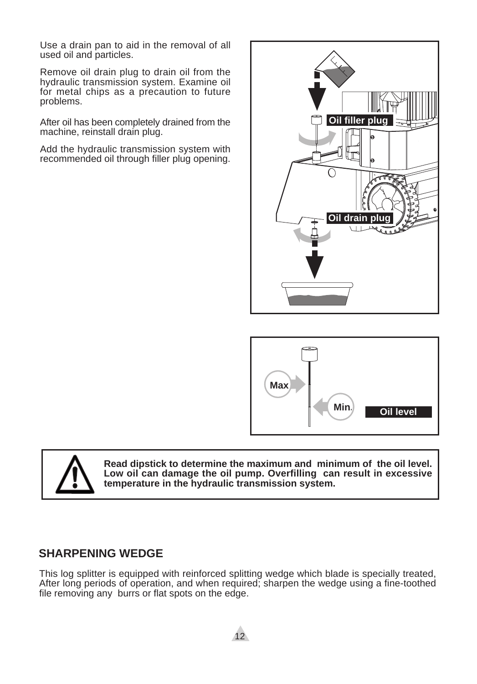Use a drain pan to aid in the removal of all used oil and particles.

Remove oil drain plug to drain oil from the hydraulic transmission system. Examine oil for metal chips as a precaution to future problems.

After oil has been completely drained from the machine, reinstall drain plug.

Add the hydraulic transmission system with recommended oil through filler plug opening.







**Read dipstick to determine the maximum and minimum of the oil level. Low oil can damage the oil pump. Overfilling can result in excessive temperature in the hydraulic transmission system.**

### **SHARPENING WEDGE**

This log splitter is equipped with reinforced splitting wedge which blade is specially treated, After long periods of operation, and when required; sharpen the wedge using a fine-toothed file removing any burrs or flat spots on the edge.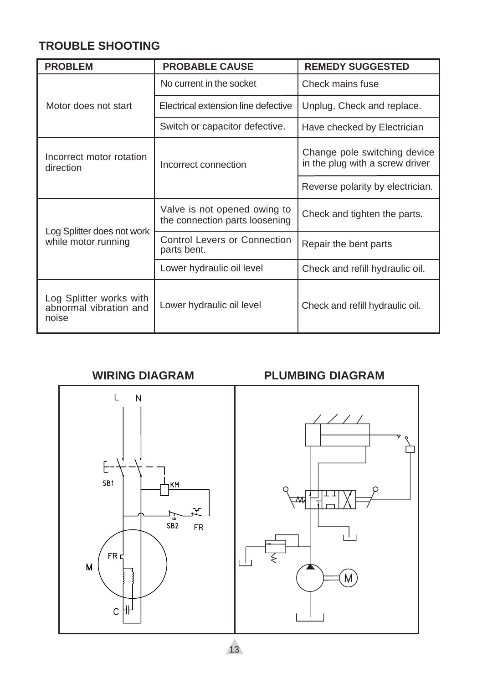### **TROUBLE SHOOTING**

| <b>PROBLEM</b>                                             | <b>PROBABLE CAUSE</b>                                          |                                                                 |
|------------------------------------------------------------|----------------------------------------------------------------|-----------------------------------------------------------------|
|                                                            | No current in the socket                                       | Check mains fuse                                                |
| Motor does not start                                       | Electrical extension line defective                            | Unplug, Check and replace.                                      |
|                                                            | Switch or capacitor defective.                                 | Have checked by Electrician                                     |
| Incorrect motor rotation<br>direction                      | Incorrect connection                                           | Change pole switching device<br>in the plug with a screw driver |
|                                                            |                                                                | Reverse polarity by electrician.                                |
| Log Splitter does not work<br>while motor running          | Valve is not opened owing to<br>the connection parts loosening | Check and tighten the parts.                                    |
|                                                            | <b>Control Levers or Connection</b><br>parts bent.             | Repair the bent parts                                           |
|                                                            | Lower hydraulic oil level                                      | Check and refill hydraulic oil.                                 |
| Log Splitter works with<br>abnormal vibration and<br>noise | Lower hydraulic oil level                                      | Check and refill hydraulic oil.                                 |

### **WIRING DIAGRAM**



### **PLUMBING DIAGRAM**



13